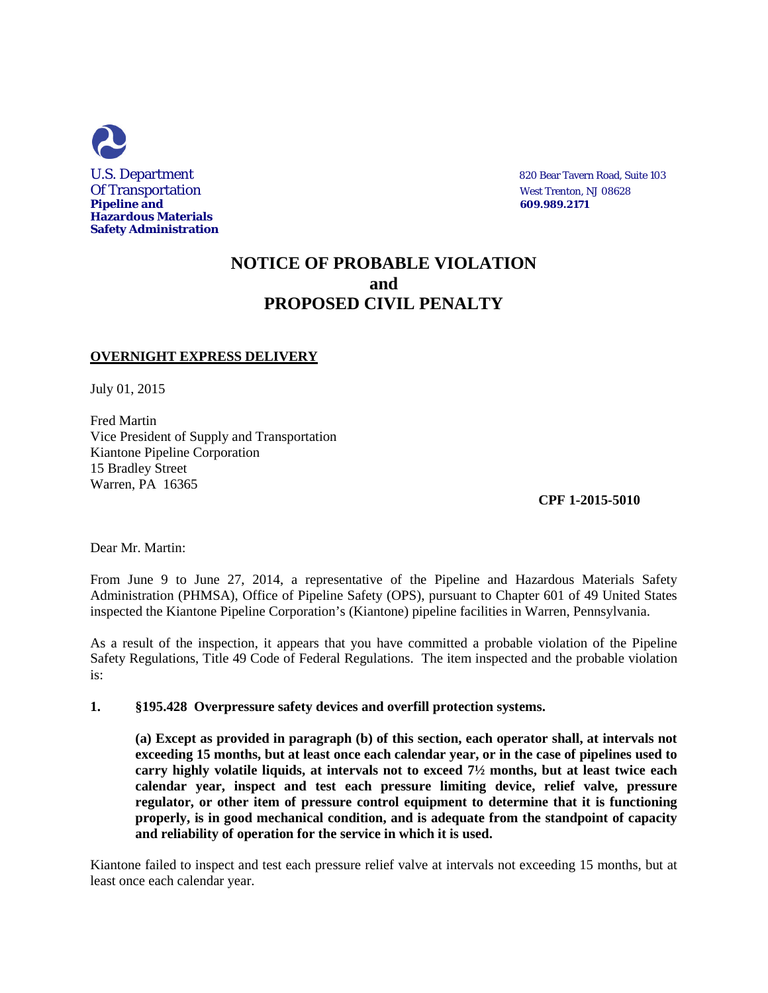

## **NOTICE OF PROBABLE VIOLATION and PROPOSED CIVIL PENALTY**

## **OVERNIGHT EXPRESS DELIVERY**

July 01, 2015

Fred Martin Vice President of Supply and Transportation Kiantone Pipeline Corporation 15 Bradley Street Warren, PA 16365

**CPF 1-2015-5010**

Dear Mr. Martin:

From June 9 to June 27, 2014, a representative of the Pipeline and Hazardous Materials Safety Administration (PHMSA), Office of Pipeline Safety (OPS), pursuant to Chapter 601 of 49 United States inspected the Kiantone Pipeline Corporation's (Kiantone) pipeline facilities in Warren, Pennsylvania.

As a result of the inspection, it appears that you have committed a probable violation of the Pipeline Safety Regulations, Title 49 Code of Federal Regulations. The item inspected and the probable violation is:

**1. §195.428 Overpressure safety devices and overfill protection systems.** 

**(a) Except as provided in paragraph (b) of this section, each operator shall, at intervals not exceeding 15 months, but at least once each calendar year, or in the case of pipelines used to carry highly volatile liquids, at intervals not to exceed 7½ months, but at least twice each calendar year, inspect and test each pressure limiting device, relief valve, pressure regulator, or other item of pressure control equipment to determine that it is functioning properly, is in good mechanical condition, and is adequate from the standpoint of capacity and reliability of operation for the service in which it is used.**

Kiantone failed to inspect and test each pressure relief valve at intervals not exceeding 15 months, but at least once each calendar year.